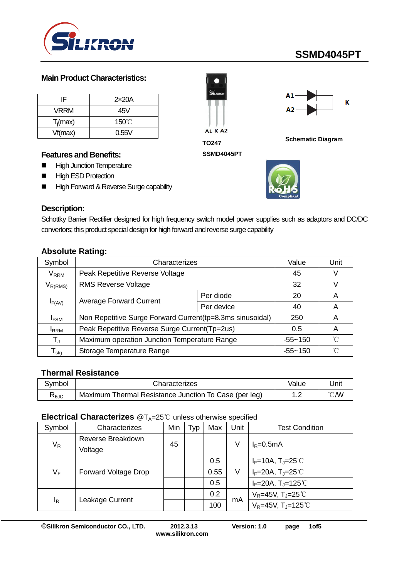

# **SSMD4045PT**

#### **Main Product Characteristics:**

| IF          | 2x20A           |
|-------------|-----------------|
| VRRM        | 45V             |
| $T_i$ (max) | $150^{\circ}$ C |
| Vf(max)     | 0.55V           |

#### **Features and Benefits:**

- **High Junction Temperature**
- **High ESD Protection**
- High Forward & Reverse Surge capability



**SSMD4045PT**



**Schematic Diagram**



#### **Description:**

Schottky Barrier Rectifier designed for high frequency switch model power supplies such as adaptors and DC/DC convertors; this product special design for high forward and reverse surge capability

#### **Absolute Rating:**

| Symbol                           | Characterizes                                             | Value       | Unit              |   |
|----------------------------------|-----------------------------------------------------------|-------------|-------------------|---|
| $\mathsf{V}_\mathsf{RRM}$        | Peak Repetitive Reverse Voltage                           | 45          |                   |   |
| $V_{R(RMS)}$                     | <b>RMS Reverse Voltage</b>                                | 32          |                   |   |
|                                  |                                                           | Per diode   | 20                | A |
| $I_{F(AV)}$                      | <b>Average Forward Current</b>                            | Per device  | 40                | A |
| <b>IFSM</b>                      | Non Repetitive Surge Forward Current(tp=8.3ms sinusoidal) | 250         | A                 |   |
| <b>I</b> RRM                     | Peak Repetitive Reverse Surge Current(Tp=2us)             | 0.5         | A                 |   |
| $T_{\rm J}$                      | Maximum operation Junction Temperature Range              | $-55 - 150$ | $^{\circ}$ $\cap$ |   |
| $\mathsf{\Gamma}_{\mathsf{stg}}$ | Storage Temperature Range                                 | $-55 - 150$ | °∩°               |   |

#### **Thermal Resistance**

| Svmbol                         | Characterizes                                         | Value                      | Jnit |
|--------------------------------|-------------------------------------------------------|----------------------------|------|
| $\mathsf{R}_{\theta\text{JC}}$ | Maximum Thermal Resistance Junction To Case (per leg) | $\sqrt{2}$<br>. <u>. .</u> | ℃W   |

#### **Electrical Characterizes** @T<sub>A</sub>=25℃ unless otherwise specified

| Symbol | Characterizes               | Min | Typ | Max  | Unit | <b>Test Condition</b>                           |
|--------|-----------------------------|-----|-----|------|------|-------------------------------------------------|
|        | Reverse Breakdown           | 45  |     |      | ٧    | $I_R = 0.5mA$                                   |
| $V_R$  | Voltage                     |     |     |      |      |                                                 |
| $V_F$  | <b>Forward Voltage Drop</b> |     |     | 0.5  | V    | $I_F$ =10A, T <sub>J</sub> =25℃                 |
|        |                             |     |     | 0.55 |      | $I_F=20A$ , T <sub>J</sub> =25℃                 |
|        |                             |     |     | 0.5  |      | $I_F = 20A$ , $T_J = 125^{\circ}C$              |
| ΙŖ     | Leakage Current             |     |     | 0.2  | mA   | $V_R = 45V$ , T <sub>J</sub> =25 <sup>°</sup> C |
|        |                             |     |     | 100  |      | $V_R = 45V$ , T <sub>J</sub> =125°C             |

**©Silikron Semiconductor CO., LTD. 2012.3.13 Version: 1.0 page 1of5**

**www.silikron.com**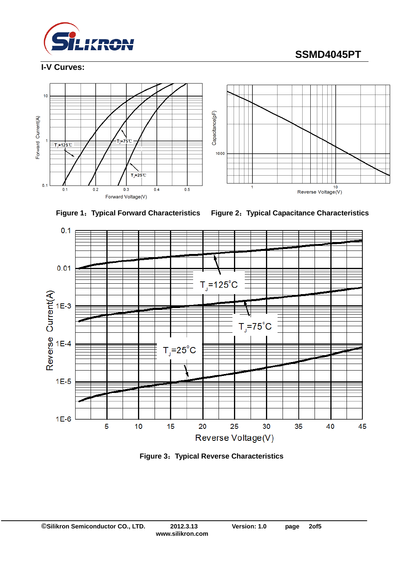

# **SSMD4045PT**

### **I-V Curves:**







**Figure 1**:**Typical Forward Characteristics Figure 2**:**Typical Capacitance Characteristics**



**Figure 3**:**Typical Reverse Characteristics**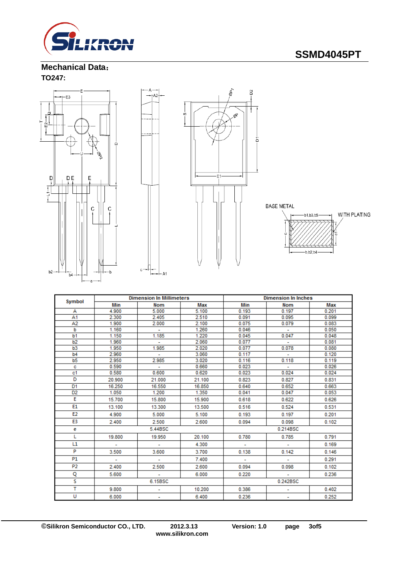

## **Mechanical Data**: **TO247:**



 $_{\rm c}$ 





|                |         | <b>Dimension In Millimeters</b> |        | <b>Dimension In Inches</b> |                          |       |
|----------------|---------|---------------------------------|--------|----------------------------|--------------------------|-------|
| Symbol         | Min     | Nom                             | Max    | Min                        | <b>Nom</b>               | Max   |
| А              | 4.900   | 5.000                           | 5.100  | 0.193                      | 0.197                    | 0.201 |
| A <sub>1</sub> | 2.300   | 2.405                           | 2.510  | 0.091                      | 0.095                    | 0.099 |
| A2             | 1.900   | 2.000                           | 2.100  | 0.075                      | 0.079                    | 0.083 |
| b              | 1.160   | ÷                               | 1.260  | 0.046                      | $\sim$                   | 0.050 |
| b <sub>1</sub> | 1.150   | 1.185                           | 1.220  | 0.045                      | 0.047                    | 0.048 |
| b <sub>2</sub> | 1.960   | ÷.                              | 2.060  | 0.077                      | $\sim$                   | 0.081 |
| b <sub>3</sub> | 1.950   | 1.985                           | 2.020  | 0.077                      | 0.078                    | 0.080 |
| b4             | 2.960   |                                 | 3.060  | 0.117                      |                          | 0.120 |
| b <sub>5</sub> | 2.950   | 2.985                           | 3.020  | 0.116                      | 0.118                    | 0.119 |
| с              | 0.590   | ÷                               | 0.660  | 0.023                      | ٠                        | 0.026 |
| c1             | 0.580   | 0.600                           | 0.620  | 0.023                      | 0.024                    | 0.024 |
| D              | 20.900  | 21.000                          | 21.100 | 0.823                      | 0.827                    | 0.831 |
| D <sub>1</sub> | 16.250  | 16.550                          | 16.850 | 0.640                      | 0.652                    | 0.663 |
| D <sub>2</sub> | 1.050   | 1.200                           | 1.350  | 0.041                      | 0.047                    | 0.053 |
| E              | 15.700  | 15.800                          | 15.900 | 0.618                      | 0.622                    | 0.626 |
| E1             | 13.100  | 13.300                          | 13.500 | 0.516                      | 0.524                    | 0.531 |
| E <sub>2</sub> | 4.900   | 5.000                           | 5.100  | 0.193                      | 0.197                    | 0.201 |
| E3             | 2.400   | 2.500                           | 2.600  | 0.094                      | 0.098                    | 0.102 |
| е              |         | 5.44BSC                         |        | 0.214BSC                   |                          |       |
| L              | 19,800  | 19.950                          | 20.100 | 0.780                      | 0.785                    | 0.791 |
| L1             | ÷       | ÷.                              | 4.300  |                            | $\sim$                   | 0.169 |
| P              | 3.500   | 3.600                           | 3.700  | 0.138                      | 0.142                    | 0.146 |
| <b>P1</b>      | ٠       | ٠                               | 7.400  | ۰.                         | ٠                        | 0.291 |
| P <sub>2</sub> | 2.400   | 2.500                           | 2.600  | 0.094                      | 0.098                    | 0.102 |
| Q              | 5.600   | ÷                               | 6.000  | 0.220                      | $\sim$                   | 0.236 |
| s              | 6.15BSC |                                 |        | 0.242BSC                   |                          |       |
| т              | 9.800   |                                 | 10.200 | 0.386                      |                          | 0.402 |
| U              | 6.000   | ۰                               | 6.400  | 0.236                      | $\overline{\phantom{a}}$ | 0.252 |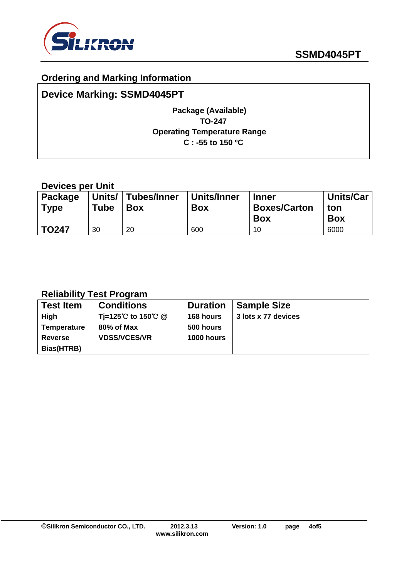

## **Ordering and Marking Information**

# **Device Marking: SSMD4045PT**

## **Package (Available) TO-247 Operating Temperature Range C : -55 to 150 ºC**

## **Devices per Unit**

| <b>Package</b><br><b>Type</b> | Units/<br>Tube | ∣ Tubes/Inner<br>Box | Units/Inner<br>Box | <b>Inner</b><br><b>Boxes/Carton</b><br><b>Box</b> | <b>Units/Car</b><br>ton<br><b>Box</b> |
|-------------------------------|----------------|----------------------|--------------------|---------------------------------------------------|---------------------------------------|
| <b>TO247</b>                  | 30             | 20                   | 600                | 10                                                | 6000                                  |

## **Reliability Test Program**

| <b>Test Item</b>   | <b>Conditions</b>   | <b>Duration</b>   | <b>Sample Size</b>  |
|--------------------|---------------------|-------------------|---------------------|
| High               | Ti=125℃ to 150℃ @   | 168 hours         | 3 lots x 77 devices |
| <b>Temperature</b> | 80% of Max          | 500 hours         |                     |
| <b>Reverse</b>     | <b>VDSS/VCES/VR</b> | <b>1000 hours</b> |                     |
| Bias(HTRB)         |                     |                   |                     |